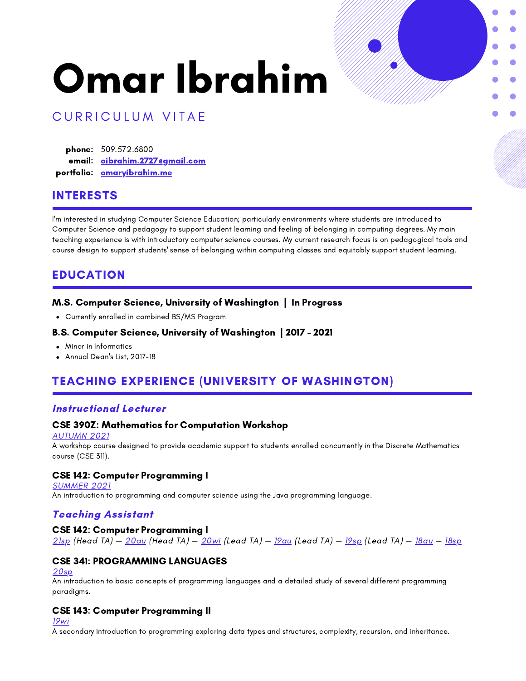# Omar Ibrahim



# CURRICULUM VITAE

**phone:** 509.572.6800 email: <u>[oibrahim.2727@gmail.com](mailto:oibrahim.2727@gmail.com)</u> portfolio: <u>[omaryibrahim.me](https://oibra.github.io/)</u>

## INTERESTS

I'm interested in studying Computer Science Education; particularly environments where students are introduced to Computer Science and pedagogy to support student learning and feeling of belonging in computing degrees. My main teaching experience is with introductory computer science courses. My current research focus is on pedagogical tools and course design to support students' sense of belonging within computing classes and equitably support student learning.

## EDUCATION

#### M.S. Computer Science, University of Washington | In Progress

Currently enrolled in combined BS/MS Program

#### B.S. Computer Science, University of Washington | 2017 - 2021

- Minor in Informatics
- Annual Dean's List, 2017-18

# TEACHING EXPERIENCE (UNIVERSITY OF WASHINGTON)

#### Instructional Lecturer

#### CSE 390Z: Mathematics for Computation Workshop

[AUTUMN](https://courses.cs.washington.edu/courses/cse390z/21au/) 2021

A workshop course designed to provide academic support to students enrolled concurrently in the Discrete Mathematics course (CSE 311).

#### CSE 142: Computer Programming I

**[SUMMER](https://courses.cs.washington.edu/courses/cse142/21su/) 2021** 

An introduction to programming and computer science using the Java programming language.

## Teaching Assistant

#### CSE 142: Computer Programming I

[21sp](https://courses.cs.washington.edu/courses/cse142/21sp/) (Head TA) — [20au](https://courses.cs.washington.edu/courses/cse142/20au/) (Head TA) — [20wi](https://courses.cs.washington.edu/courses/cse142/20wi/) (Lead TA) — [19au](https://courses.cs.washington.edu/courses/cse142/19au/) (Lead TA) — [19sp](https://courses.cs.washington.edu/courses/cse142/19sp/) (Lead TA) — [18au](https://courses.cs.washington.edu/courses/cse142/18au/) — [18sp](https://courses.cs.washington.edu/courses/cse142/18sp/)

## CSE 341: PROGRAMMING LANGUAGES

#### [20sp](https://courses.cs.washington.edu/courses/cse341/20sp/)

An introduction to basic concepts of programming languages and a detailed study of several different programming paradigms.

#### CSE 143: Computer Programming II

[19wi](https://courses.cs.washington.edu/courses/cse143/19wi/)

A secondary introduction to programming exploring data types and structures, complexity, recursion, and inheritance.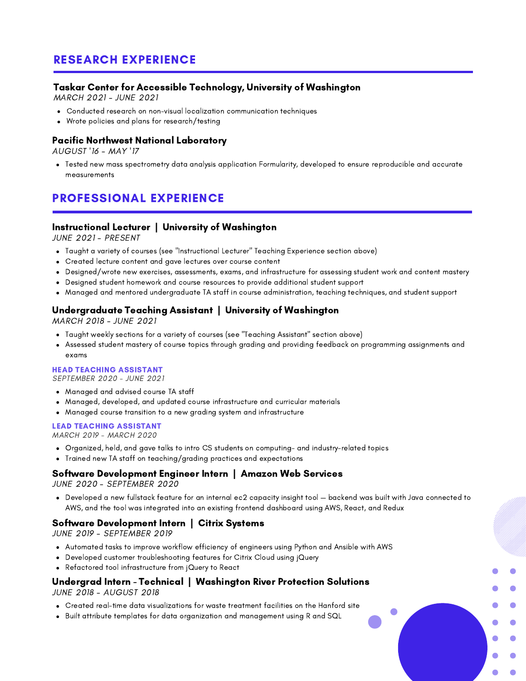# RESEARCH EXPERIENCE

## Taskar Center for Accessible Technology, University of Washington

MARCH 2021 - JUNE 2021

- Conducted research on non-visual localization communication techniques
- Wrote policies and plans for research/testing

#### Pacific Northwest National Laboratory

AUGUST '16 - MAY '17

Tested new mass spectrometry data analysis application Formularity, developed to ensure reproducible and accurate measurements

# PROFESSIONAL EXPERIENCE

## Instructional Lecturer | University of Washington

JUNE 2021 - PRESENT

- Taught a variety of courses (see "Instructional Lecturer" Teaching Experience section above)
- Created lecture content and gave lectures over course content
- Designed/wrote new exercises, assessments, exams, and infrastructure for assessing student work and content mastery
- Designed student homework and course resources to provide additional student support
- Managed and mentored undergraduate TA staff in course administration, teaching techniques, and student support

## Undergraduate Teaching Assistant | University of Washington

MARCH 2018 - JUNE 2021

- Taught weekly sections for a variety of courses (see "Teaching Assistant" section above)
- Assessed student mastery of course topics through grading and providing feedback on programming assignments and exams

#### HEAD TEACHING ASSISTANT

SEPTEMBER 2020 - JUNE 2021

- Managed and advised course TA staff
- Managed, developed, and updated course infrastructure and curricular materials
- Managed course transition to a new grading system and infrastructure

#### LEAD TEACHING ASSISTANT

MARCH 2019 - MARCH 2020

- Organized, held, and gave talks to intro CS students on computing- and industry-related topics
- Trained new TA staff on teaching/grading practices and expectations

#### Software Development Engineer Intern | Amazon Web Services

JUNE 2020 - SEPTEMBER 2020

Developed a new fullstack feature for an internal ec2 capacity insight tool — backend was built with Java connected to AWS, and the tool was integrated into an existing frontend dashboard using AWS, React, and Redux

 $\bullet$ 

#### Software Development Intern | Citrix Systems

JUNE 2019 - SEPTEMBER 2019

- Automated tasks to improve workflow efficiency of engineers using Python and Ansible with AWS
- Developed customer troubleshooting features for Citrix Cloud using jQuery
- Refactored tool infrastructure from jQuery to React

#### Undergrad Intern - Technical | Washington River Protection Solutions JUNE 2018 - AUGUST 2018

- Created real-time data visualizations for waste treatment facilities on the Hanford site
- Built attribute templates for data organization and management using R and SQL